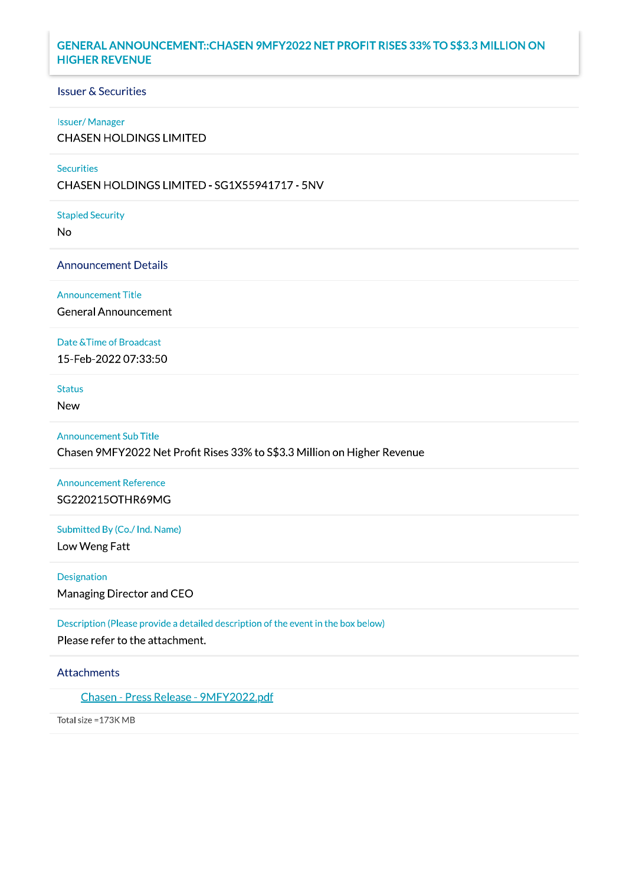## GENERAL ANNOUNCEMENT:: CHASEN 9MFY2022 NET PROFIT RISES 33% TO S\$3.3 MILLION ON **HIGHER REVENUE**

# **Issuer & Securities**

## **Issuer/Manager**

**CHASEN HOLDINGS LIMITED** 

## Securities

CHASEN HOLDINGS LIMITED - SG1X55941717 - 5NV

#### **Stapled Security**

**No** 

### **Announcement Details**

**Announcement Title** 

**General Announcement** 

## Date & Time of Broadcast

15-Feb-2022 07:33:50

## **Status**

**New** 

## **Announcement Sub Title**

Chasen 9MFY2022 Net Profit Rises 33% to S\$3.3 Million on Higher Revenue

# **Announcement Reference** SG220215OTHR69MG

## Submitted By (Co./ Ind. Name)

Low Weng Fatt

#### Designation

Managing Director and CEO

Description (Please provide a detailed description of the event in the box below)

Please refer to the attachment.

## Attachments

Chasen - Press Release - 9MFY2022.pdf

Total size = 173K MB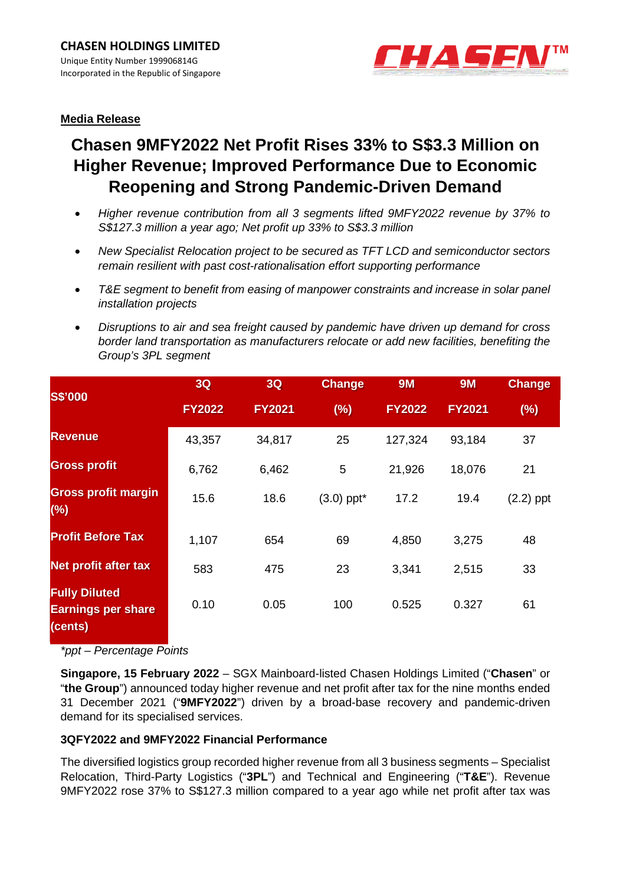

# **Media Release**

# **Chasen 9MFY2022 Net Profit Rises 33% to S\$3.3 Million on Higher Revenue; Improved Performance Due to Economic Reopening and Strong Pandemic-Driven Demand**

- *Higher revenue contribution from all 3 segments lifted 9MFY2022 revenue by 37% to S\$127.3 million a year ago; Net profit up 33% to S\$3.3 million*
- *New Specialist Relocation project to be secured as TFT LCD and semiconductor sectors remain resilient with past cost-rationalisation effort supporting performance*
- *T&E segment to benefit from easing of manpower constraints and increase in solar panel installation projects*
- *Disruptions to air and sea freight caused by pandemic have driven up demand for cross border land transportation as manufacturers relocate or add new facilities, benefiting the Group's 3PL segment*

| <b>S\$'000</b>                                               | <b>3Q</b>     | <b>3Q</b>     | <b>Change</b> | <b>9M</b>     | <b>9M</b>     | <b>Change</b> |
|--------------------------------------------------------------|---------------|---------------|---------------|---------------|---------------|---------------|
|                                                              | <b>FY2022</b> | <b>FY2021</b> | (%)           | <b>FY2022</b> | <b>FY2021</b> | (%)           |
| <b>Revenue</b>                                               | 43,357        | 34,817        | 25            | 127,324       | 93,184        | 37            |
| <b>Gross profit</b>                                          | 6,762         | 6,462         | 5             | 21,926        | 18,076        | 21            |
| <b>Gross profit margin</b><br>(%)                            | 15.6          | 18.6          | $(3.0)$ ppt*  | 17.2          | 19.4          | $(2.2)$ ppt   |
| <b>Profit Before Tax</b>                                     | 1,107         | 654           | 69            | 4,850         | 3,275         | 48            |
| Net profit after tax                                         | 583           | 475           | 23            | 3,341         | 2,515         | 33            |
| <b>Fully Diluted</b><br><b>Earnings per share</b><br>(cents) | 0.10          | 0.05          | 100           | 0.525         | 0.327         | 61            |

*\*ppt – Percentage Points* 

**Singapore, 15 February 2022** – SGX Mainboard-listed Chasen Holdings Limited ("**Chasen**" or "**the Group**") announced today higher revenue and net profit after tax for the nine months ended 31 December 2021 ("**9MFY2022**") driven by a broad-base recovery and pandemic-driven demand for its specialised services.

# **3QFY2022 and 9MFY2022 Financial Performance**

The diversified logistics group recorded higher revenue from all 3 business segments – Specialist Relocation, Third-Party Logistics ("**3PL**") and Technical and Engineering ("**T&E**"). Revenue 9MFY2022 rose 37% to S\$127.3 million compared to a year ago while net profit after tax was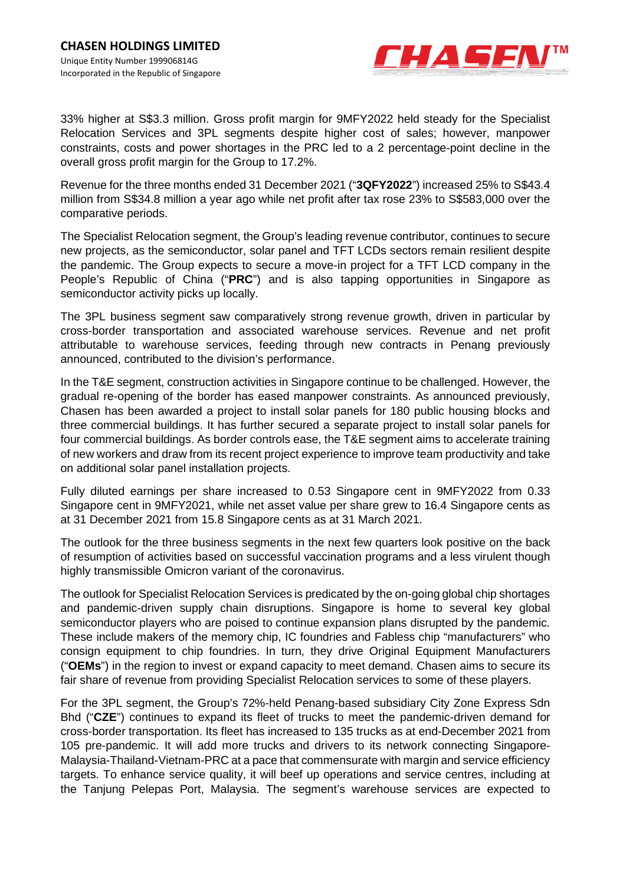

33% higher at S\$3.3 million. Gross profit margin for 9MFY2022 held steady for the Specialist Relocation Services and 3PL segments despite higher cost of sales; however, manpower constraints, costs and power shortages in the PRC led to a 2 percentage-point decline in the overall gross profit margin for the Group to 17.2%.

Revenue for the three months ended 31 December 2021 ("**3QFY2022**") increased 25% to S\$43.4 million from S\$34.8 million a year ago while net profit after tax rose 23% to S\$583,000 over the comparative periods.

The Specialist Relocation segment, the Group's leading revenue contributor, continues to secure new projects, as the semiconductor, solar panel and TFT LCDs sectors remain resilient despite the pandemic. The Group expects to secure a move-in project for a TFT LCD company in the People's Republic of China ("**PRC**") and is also tapping opportunities in Singapore as semiconductor activity picks up locally.

The 3PL business segment saw comparatively strong revenue growth, driven in particular by cross-border transportation and associated warehouse services. Revenue and net profit attributable to warehouse services, feeding through new contracts in Penang previously announced, contributed to the division's performance.

In the T&E segment, construction activities in Singapore continue to be challenged. However, the gradual re-opening of the border has eased manpower constraints. As announced previously, Chasen has been awarded a project to install solar panels for 180 public housing blocks and three commercial buildings. It has further secured a separate project to install solar panels for four commercial buildings. As border controls ease, the T&E segment aims to accelerate training of new workers and draw from its recent project experience to improve team productivity and take on additional solar panel installation projects.

Fully diluted earnings per share increased to 0.53 Singapore cent in 9MFY2022 from 0.33 Singapore cent in 9MFY2021, while net asset value per share grew to 16.4 Singapore cents as at 31 December 2021 from 15.8 Singapore cents as at 31 March 2021.

The outlook for the three business segments in the next few quarters look positive on the back of resumption of activities based on successful vaccination programs and a less virulent though highly transmissible Omicron variant of the coronavirus.

The outlook for Specialist Relocation Services is predicated by the on-going global chip shortages and pandemic-driven supply chain disruptions. Singapore is home to several key global semiconductor players who are poised to continue expansion plans disrupted by the pandemic. These include makers of the memory chip, IC foundries and Fabless chip "manufacturers" who consign equipment to chip foundries. In turn, they drive Original Equipment Manufacturers ("**OEMs**") in the region to invest or expand capacity to meet demand. Chasen aims to secure its fair share of revenue from providing Specialist Relocation services to some of these players.

For the 3PL segment, the Group's 72%-held Penang-based subsidiary City Zone Express Sdn Bhd ("**CZE**") continues to expand its fleet of trucks to meet the pandemic-driven demand for cross-border transportation. Its fleet has increased to 135 trucks as at end-December 2021 from 105 pre-pandemic. It will add more trucks and drivers to its network connecting Singapore-Malaysia-Thailand-Vietnam-PRC at a pace that commensurate with margin and service efficiency targets. To enhance service quality, it will beef up operations and service centres, including at the Tanjung Pelepas Port, Malaysia. The segment's warehouse services are expected to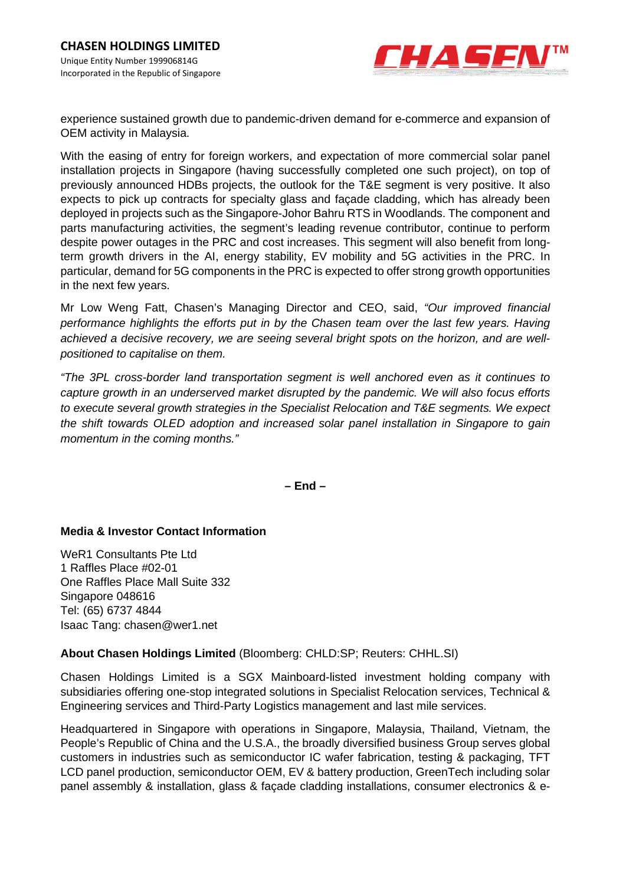

experience sustained growth due to pandemic-driven demand for e-commerce and expansion of OEM activity in Malaysia.

With the easing of entry for foreign workers, and expectation of more commercial solar panel installation projects in Singapore (having successfully completed one such project), on top of previously announced HDBs projects, the outlook for the T&E segment is very positive. It also expects to pick up contracts for specialty glass and façade cladding, which has already been deployed in projects such as the Singapore-Johor Bahru RTS in Woodlands. The component and parts manufacturing activities, the segment's leading revenue contributor, continue to perform despite power outages in the PRC and cost increases. This segment will also benefit from longterm growth drivers in the AI, energy stability, EV mobility and 5G activities in the PRC. In particular, demand for 5G components in the PRC is expected to offer strong growth opportunities in the next few years.

Mr Low Weng Fatt, Chasen's Managing Director and CEO, said, *"Our improved financial performance highlights the efforts put in by the Chasen team over the last few years. Having achieved a decisive recovery, we are seeing several bright spots on the horizon, and are wellpositioned to capitalise on them.* 

*"The 3PL cross-border land transportation segment is well anchored even as it continues to capture growth in an underserved market disrupted by the pandemic. We will also focus efforts to execute several growth strategies in the Specialist Relocation and T&E segments. We expect the shift towards OLED adoption and increased solar panel installation in Singapore to gain momentum in the coming months."* 

**– End –** 

# **Media & Investor Contact Information**

WeR1 Consultants Pte Ltd 1 Raffles Place #02-01 One Raffles Place Mall Suite 332 Singapore 048616 Tel: (65) 6737 4844 Isaac Tang: chasen@wer1.net

# **About Chasen Holdings Limited** (Bloomberg: CHLD:SP; Reuters: CHHL.SI)

Chasen Holdings Limited is a SGX Mainboard-listed investment holding company with subsidiaries offering one-stop integrated solutions in Specialist Relocation services, Technical & Engineering services and Third-Party Logistics management and last mile services.

Headquartered in Singapore with operations in Singapore, Malaysia, Thailand, Vietnam, the People's Republic of China and the U.S.A., the broadly diversified business Group serves global customers in industries such as semiconductor IC wafer fabrication, testing & packaging, TFT LCD panel production, semiconductor OEM, EV & battery production, GreenTech including solar panel assembly & installation, glass & façade cladding installations, consumer electronics & e-